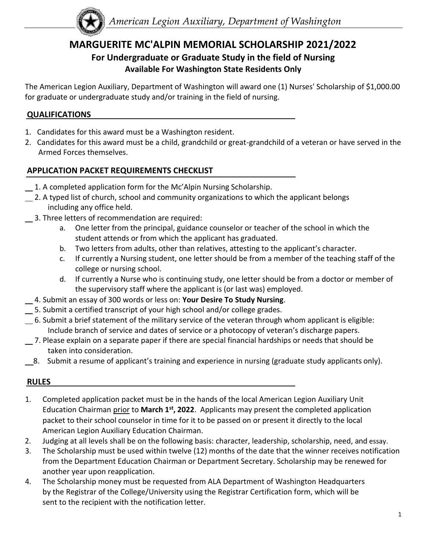American Legion Auxiliary, Department of Washington

## **MARGUERITE MC'ALPIN MEMORIAL SCHOLARSHIP 2021/2022 For Undergraduate or Graduate Study in the field of Nursing Available For Washington State Residents Only**

The American Legion Auxiliary, Department of Washington will award one (1) Nurses' Scholarship of \$1,000.00 for graduate or undergraduate study and/or training in the field of nursing.

#### **QUALIFICATIONS**

- 1. Candidates for this award must be a Washington resident.
- 2. Candidates for this award must be a child, grandchild or great-grandchild of a veteran or have served in the Armed Forces themselves.

### **APPLICATION PACKET REQUIREMENTS CHECKLIST**

- $\_$ 1. A completed application form for the Mc'Alpin Nursing Scholarship.
- 2. A typed list of church, school and community organizations to which the applicant belongs including any office held.
- 3. Three letters of recommendation are required:
	- a. One letter from the principal, guidance counselor or teacher of the school in which the student attends or from which the applicant has graduated.
	- b. Two letters from adults, other than relatives, attesting to the applicant's character.
	- c. If currently a Nursing student, one letter should be from a member of the teaching staff of the college or nursing school.
	- d. If currently a Nurse who is continuing study, one letter should be from a doctor or member of the supervisory staff where the applicant is (or last was) employed.
- 4. Submit an essay of 300 words or less on: **Your Desire To Study Nursing**.
- 5. Submit a certified transcript of your high school and/or college grades.
- 6. Submit a brief statement of the military service of the veteran through whom applicant is eligible: Include branch of service and dates of service or a photocopy of veteran's discharge papers.
- 7. Please explain on a separate paper if there are special financial hardships or needs that should be taken into consideration.
- 8. Submit a resume of applicant's training and experience in nursing (graduate study applicants only).

### **RULES**

- 1. Completed application packet must be in the hands of the local American Legion Auxiliary Unit Education Chairman prior to March 1<sup>st</sup>, 2022. Applicants may present the completed application packet to their school counselor in time for it to be passed on or present it directly to the local American Legion Auxiliary Education Chairman.
- 2. Judging at all levels shall be on the following basis: character, leadership, scholarship, need, and essay.
- 3. The Scholarship must be used within twelve (12) months of the date that the winner receives notification from the Department Education Chairman or Department Secretary. Scholarship may be renewed for another year upon reapplication.
- 4. The Scholarship money must be requested from ALA Department of Washington Headquarters by the Registrar of the College/University using the Registrar Certification form, which will be sent to the recipient with the notification letter.